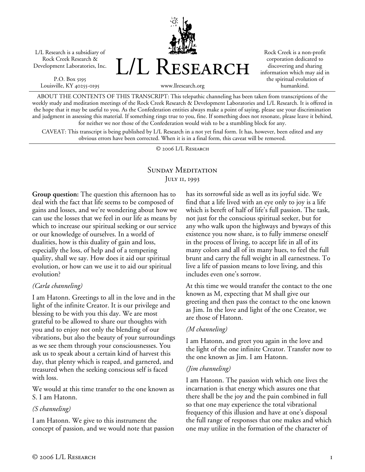L/L Research is a subsidiary of Rock Creek Research & Development Laboratories, Inc.

P.O. Box 5195 Louisville, KY 40255-0195 L/L Research

Rock Creek is a non-profit corporation dedicated to discovering and sharing information which may aid in the spiritual evolution of humankind.

www.llresearch.org

ABOUT THE CONTENTS OF THIS TRANSCRIPT: This telepathic channeling has been taken from transcriptions of the weekly study and meditation meetings of the Rock Creek Research & Development Laboratories and L/L Research. It is offered in the hope that it may be useful to you. As the Confederation entities always make a point of saying, please use your discrimination and judgment in assessing this material. If something rings true to you, fine. If something does not resonate, please leave it behind, for neither we nor those of the Confederation would wish to be a stumbling block for any.

CAVEAT: This transcript is being published by L/L Research in a not yet final form. It has, however, been edited and any obvious errors have been corrected. When it is in a final form, this caveat will be removed.

© 2006 L/L Research

# SUNDAY MEDITATION JULY 11, 1993

**Group question:** The question this afternoon has to deal with the fact that life seems to be composed of gains and losses, and we're wondering about how we can use the losses that we feel in our life as means by which to increase our spiritual seeking or our service or our knowledge of ourselves. In a world of dualities, how is this duality of gain and loss, especially the loss, of help and of a tempering quality, shall we say. How does it aid our spiritual evolution, or how can we use it to aid our spiritual evolution?

### *(Carla channeling)*

I am Hatonn. Greetings to all in the love and in the light of the infinite Creator. It is our privilege and blessing to be with you this day. We are most grateful to be allowed to share our thoughts with you and to enjoy not only the blending of our vibrations, but also the beauty of your surroundings as we see them through your consciousnesses. You ask us to speak about a certain kind of harvest this day, that plenty which is reaped, and garnered, and treasured when the seeking conscious self is faced with loss.

We would at this time transfer to the one known as S. I am Hatonn.

### *(S channeling)*

I am Hatonn. We give to this instrument the concept of passion, and we would note that passion has its sorrowful side as well as its joyful side. We find that a life lived with an eye only to joy is a life which is bereft of half of life's full passion. The task, not just for the conscious spiritual seeker, but for any who walk upon the highways and byways of this existence you now share, is to fully immerse oneself in the process of living, to accept life in all of its many colors and all of its many hues, to feel the full brunt and carry the full weight in all earnestness. To live a life of passion means to love living, and this includes even one's sorrow.

At this time we would transfer the contact to the one known as M, expecting that M shall give our greeting and then pass the contact to the one known as Jim. In the love and light of the one Creator, we are those of Hatonn.

### *(M channeling)*

I am Hatonn, and greet you again in the love and the light of the one infinite Creator. Transfer now to the one known as Jim. I am Hatonn.

### *(Jim channeling)*

I am Hatonn. The passion with which one lives the incarnation is that energy which assures one that there shall be the joy and the pain combined in full so that one may experience the total vibrational frequency of this illusion and have at one's disposal the full range of responses that one makes and which one may utilize in the formation of the character of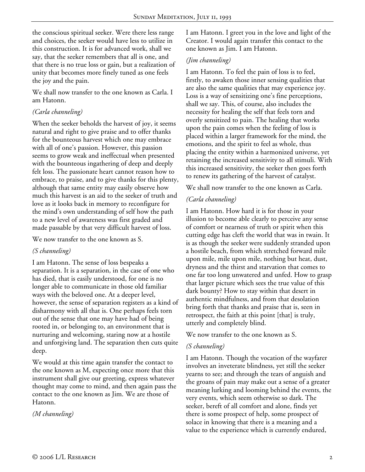the conscious spiritual seeker. Were there less range and choices, the seeker would have less to utilize in this construction. It is for advanced work, shall we say, that the seeker remembers that all is one, and that there is no true loss or gain, but a realization of unity that becomes more finely tuned as one feels the joy and the pain.

We shall now transfer to the one known as Carla. I am Hatonn.

## *(Carla channeling)*

When the seeker beholds the harvest of joy, it seems natural and right to give praise and to offer thanks for the bounteous harvest which one may embrace with all of one's passion. However, this passion seems to grow weak and ineffectual when presented with the bounteous ingathering of deep and deeply felt loss. The passionate heart cannot reason how to embrace, to praise, and to give thanks for this plenty, although that same entity may easily observe how much this harvest is an aid to the seeker of truth and love as it looks back in memory to reconfigure for the mind's own understanding of self how the path to a new level of awareness was first graded and made passable by that very difficult harvest of loss.

We now transfer to the one known as S.

### *(S channeling)*

I am Hatonn. The sense of loss bespeaks a separation. It is a separation, in the case of one who has died, that is easily understood, for one is no longer able to communicate in those old familiar ways with the beloved one. At a deeper level, however, the sense of separation registers as a kind of disharmony with all that is. One perhaps feels torn out of the sense that one may have had of being rooted in, or belonging to, an environment that is nurturing and welcoming, staring now at a hostile and unforgiving land. The separation then cuts quite deep.

We would at this time again transfer the contact to the one known as M, expecting once more that this instrument shall give our greeting, express whatever thought may come to mind, and then again pass the contact to the one known as Jim. We are those of Hatonn.

*(M channeling)* 

I am Hatonn. I greet you in the love and light of the Creator. I would again transfer this contact to the one known as Jim. I am Hatonn.

## *(Jim channeling)*

I am Hatonn. To feel the pain of loss is to feel, firstly, to awaken those inner sensing qualities that are also the same qualities that may experience joy. Loss is a way of sensitizing one's fine perceptions, shall we say. This, of course, also includes the necessity for healing the self that feels torn and overly sensitized to pain. The healing that works upon the pain comes when the feeling of loss is placed within a larger framework for the mind, the emotions, and the spirit to feel as whole, thus placing the entity within a harmonized universe, yet retaining the increased sensitivity to all stimuli. With this increased sensitivity, the seeker then goes forth to renew its gathering of the harvest of catalyst.

We shall now transfer to the one known as Carla.

## *(Carla channeling)*

I am Hatonn. How hard it is for those in your illusion to become able clearly to perceive any sense of comfort or nearness of truth or spirit when this cutting edge has cleft the world that was in twain. It is as though the seeker were suddenly stranded upon a hostile beach, from which stretched forward mile upon mile, mile upon mile, nothing but heat, dust, dryness and the thirst and starvation that comes to one far too long unwatered and unfed. How to grasp that larger picture which sees the true value of this dark bounty? How to stay within that desert in authentic mindfulness, and from that desolation bring forth that thanks and praise that is, seen in retrospect, the faith at this point [that] is truly, utterly and completely blind.

We now transfer to the one known as S.

### *(S channeling)*

I am Hatonn. Though the vocation of the wayfarer involves an inveterate blindness, yet still the seeker yearns to see; and through the tears of anguish and the groans of pain may make out a sense of a greater meaning lurking and looming behind the events, the very events, which seem otherwise so dark. The seeker, bereft of all comfort and alone, finds yet there is some prospect of help, some prospect of solace in knowing that there is a meaning and a value to the experience which is currently endured,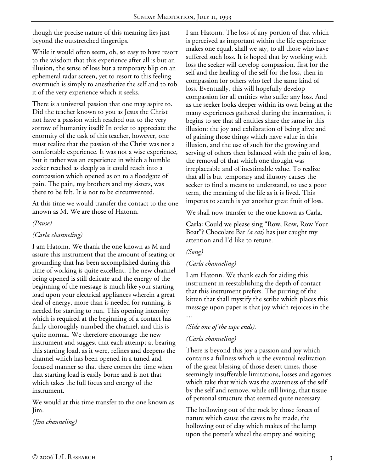though the precise nature of this meaning lies just beyond the outstretched fingertips.

While it would often seem, oh, so easy to have resort to the wisdom that this experience after all is but an illusion, the sense of loss but a temporary blip on an ephemeral radar screen, yet to resort to this feeling overmuch is simply to anesthetize the self and to rob it of the very experience which it seeks.

There is a universal passion that one may aspire to. Did the teacher known to you as Jesus the Christ not have a passion which reached out to the very sorrow of humanity itself? In order to appreciate the enormity of the task of this teacher, however, one must realize that the passion of the Christ was not a comfortable experience. It was not a wise experience, but it rather was an experience in which a humble seeker reached as deeply as it could reach into a compassion which opened as on to a floodgate of pain. The pain, my brothers and my sisters, was there to be felt. It is not to be circumvented.

At this time we would transfer the contact to the one known as M. We are those of Hatonn.

#### *(Pause)*

## *(Carla channeling)*

I am Hatonn. We thank the one known as M and assure this instrument that the amount of seating or grounding that has been accomplished during this time of working is quite excellent. The new channel being opened is still delicate and the energy of the beginning of the message is much like your starting load upon your electrical appliances wherein a great deal of energy, more than is needed for running, is needed for starting to run. This opening intensity which is required at the beginning of a contact has fairly thoroughly numbed the channel, and this is quite normal. We therefore encourage the new instrument and suggest that each attempt at bearing this starting load, as it were, refines and deepens the channel which has been opened in a tuned and focused manner so that there comes the time when that starting load is easily borne and is not that which takes the full focus and energy of the instrument.

We would at this time transfer to the one known as Jim.

*(Jim channeling)* 

I am Hatonn. The loss of any portion of that which is perceived as important within the life experience makes one equal, shall we say, to all those who have suffered such loss. It is hoped that by working with loss the seeker will develop compassion, first for the self and the healing of the self for the loss, then in compassion for others who feel the same kind of loss. Eventually, this will hopefully develop compassion for all entities who suffer any loss. And as the seeker looks deeper within its own being at the many experiences gathered during the incarnation, it begins to see that all entities share the same in this illusion: the joy and exhilaration of being alive and of gaining those things which have value in this illusion, and the use of such for the growing and serving of others then balanced with the pain of loss, the removal of that which one thought was irreplaceable and of inestimable value. To realize that all is but temporary and illusory causes the seeker to find a means to understand, to use a poor term, the meaning of the life as it is lived. This impetus to search is yet another great fruit of loss.

We shall now transfer to the one known as Carla.

**Carla:** Could we please sing "Row, Row, Row Your Boat"? Chocolate Bar *(a cat)* has just caught my attention and I'd like to retune.

### *(Song)*

### *(Carla channeling)*

I am Hatonn. We thank each for aiding this instrument in reestablishing the depth of contact that this instrument prefers. The purring of the kitten that shall mystify the scribe which places this message upon paper is that joy which rejoices in the …

*(Side one of the tape ends).* 

### *(Carla channeling)*

There is beyond this joy a passion and joy which contains a fullness which is the eventual realization of the great blessing of those desert times, those seemingly insufferable limitations, losses and agonies which take that which was the awareness of the self by the self and remove, while still living, that tissue of personal structure that seemed quite necessary.

The hollowing out of the rock by those forces of nature which cause the caves to be made, the hollowing out of clay which makes of the lump upon the potter's wheel the empty and waiting